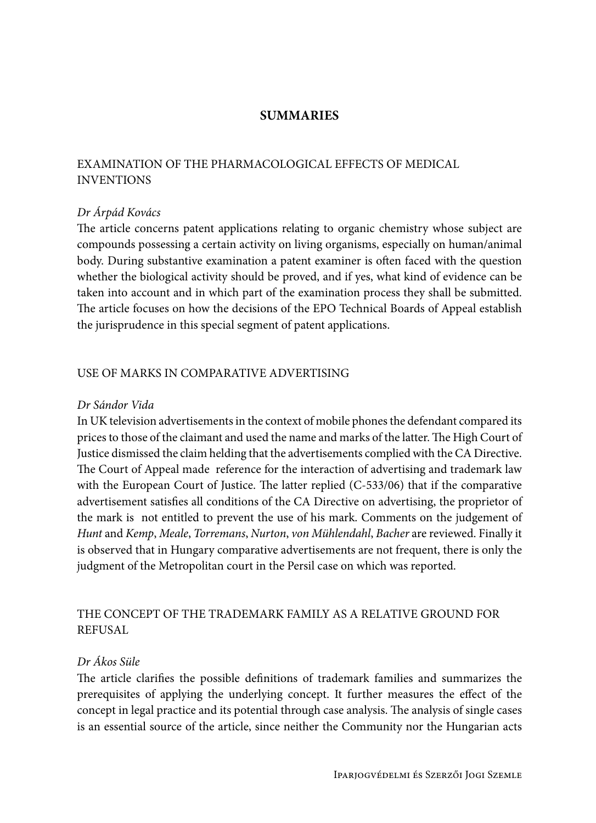# **SUMMARIES**

# EXAMINATION OF THE PHARMACOLOGICAL EFFECTS OF MEDICAL INVENTIONS

### *Dr Árpád Kovács*

The article concerns patent applications relating to organic chemistry whose subject are compounds possessing a certain activity on living organisms, especially on human/animal body. During substantive examination a patent examiner is often faced with the question whether the biological activity should be proved, and if yes, what kind of evidence can be taken into account and in which part of the examination process they shall be submitted. The article focuses on how the decisions of the EPO Technical Boards of Appeal establish the jurisprudence in this special segment of patent applications.

# USE OF MARKS IN COMPARATIVE ADVERTISING

#### *Dr Sándor Vida*

In UK television advertisements in the context of mobile phones the defendant compared its prices to those of the claimant and used the name and marks of the latter. The High Court of Justice dismissed the claim helding that the advertisements complied with the CA Directive. The Court of Appeal made reference for the interaction of advertising and trademark law with the European Court of Justice. The latter replied (C-533/06) that if the comparative advertisement satisfies all conditions of the CA Directive on advertising, the proprietor of the mark is not entitled to prevent the use of his mark. Comments on the judgement of *Hunt* and *Kemp*, *Meale*, *Torremans*, *Nurton*, *von Mühlendahl*, *Bacher* are reviewed. Finally it is observed that in Hungary comparative advertisements are not frequent, there is only the judgment of the Metropolitan court in the Persil case on which was reported.

# THE CONCEPT OF THE TRADEMARK FAMILY AS A RELATIVE GROUND FOR REFUSAL

### *Dr Ákos Süle*

The article clarifies the possible definitions of trademark families and summarizes the prerequisites of applying the underlying concept. It further measures the effect of the concept in legal practice and its potential through case analysis. The analysis of single cases is an essential source of the article, since neither the Community nor the Hungarian acts